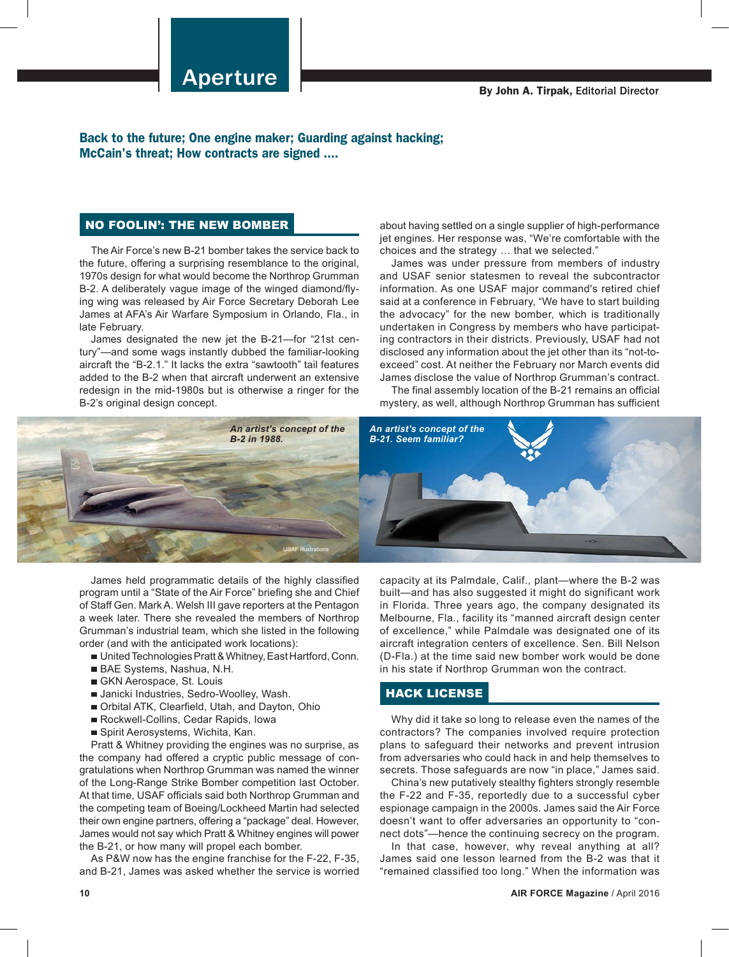Back to the future; One engine maker; Guarding against hacking; McCain's threat; How contracts are signed ....

## NO FOOLIN': THE NEW BOMBER

The Air Force's new B-21 bomber takes the service back to the future, offering a surprising resemblance to the original, 1970s design for what would become the Northrop Grumman B-2. A deliberately vague image of the winged diamond/flying wing was released by Air Force Secretary Deborah Lee James at AFA's Air Warfare Symposium in Orlando, Fla., in late February.

James designated the new jet the B-21—for "21st century"—and some wags instantly dubbed the familiar-looking aircraft the "B-2.1." It lacks the extra "sawtooth" tail features added to the B-2 when that aircraft underwent an extensive redesign in the mid-1980s but is otherwise a ringer for the B-2's original design concept.

about having settled on a single supplier of high-performance jet engines. Her response was, "We're comfortable with the choices and the strategy … that we selected."

James was under pressure from members of industry and USAF senior statesmen to reveal the subcontractor information. As one USAF major command's retired chief said at a conference in February, "We have to start building the advocacy" for the new bomber, which is traditionally undertaken in Congress by members who have participating contractors in their districts. Previously, USAF had not disclosed any information about the jet other than its "not-toexceed" cost. At neither the February nor March events did James disclose the value of Northrop Grumman's contract.

The final assembly location of the B-21 remains an official mystery, as well, although Northrop Grumman has sufficient



James held programmatic details of the highly classified program until a "State of the Air Force" briefing she and Chief of Staff Gen. Mark A. Welsh III gave reporters at the Pentagon a week later. There she revealed the members of Northrop Grumman's industrial team, which she listed in the following order (and with the anticipated work locations):

- United Technologies Pratt & Whitney, East Hartford, Conn.
- BAE Systems, Nashua, N.H.
- GKN Aerospace, St. Louis
- Janicki Industries, Sedro-Woolley, Wash.
- Orbital ATK, Clearfield, Utah, and Dayton, Ohio
- Rockwell-Collins, Cedar Rapids, Iowa
- Spirit Aerosystems, Wichita, Kan.

Pratt & Whitney providing the engines was no surprise, as the company had offered a cryptic public message of congratulations when Northrop Grumman was named the winner of the Long-Range Strike Bomber competition last October. At that time, USAF officials said both Northrop Grumman and the competing team of Boeing/Lockheed Martin had selected their own engine partners, offering a "package" deal. However, James would not say which Pratt & Whitney engines will power the B-21, or how many will propel each bomber.

As P&W now has the engine franchise for the F-22, F-35, and B-21, James was asked whether the service is worried capacity at its Palmdale, Calif., plant—where the B-2 was built—and has also suggested it might do significant work in Florida. Three years ago, the company designated its Melbourne, Fla., facility its "manned aircraft design center of excellence," while Palmdale was designated one of its aircraft integration centers of excellence. Sen. Bill Nelson (D-Fla.) at the time said new bomber work would be done in his state if Northrop Grumman won the contract.

## HACK LICENSE

Why did it take so long to release even the names of the contractors? The companies involved require protection plans to safeguard their networks and prevent intrusion from adversaries who could hack in and help themselves to secrets. Those safeguards are now "in place," James said.

China's new putatively stealthy fighters strongly resemble the F-22 and F-35, reportedly due to a successful cyber espionage campaign in the 2000s. James said the Air Force doesn't want to offer adversaries an opportunity to "connect dots"—hence the continuing secrecy on the program.

In that case, however, why reveal anything at all? James said one lesson learned from the B-2 was that it "remained classified too long." When the information was